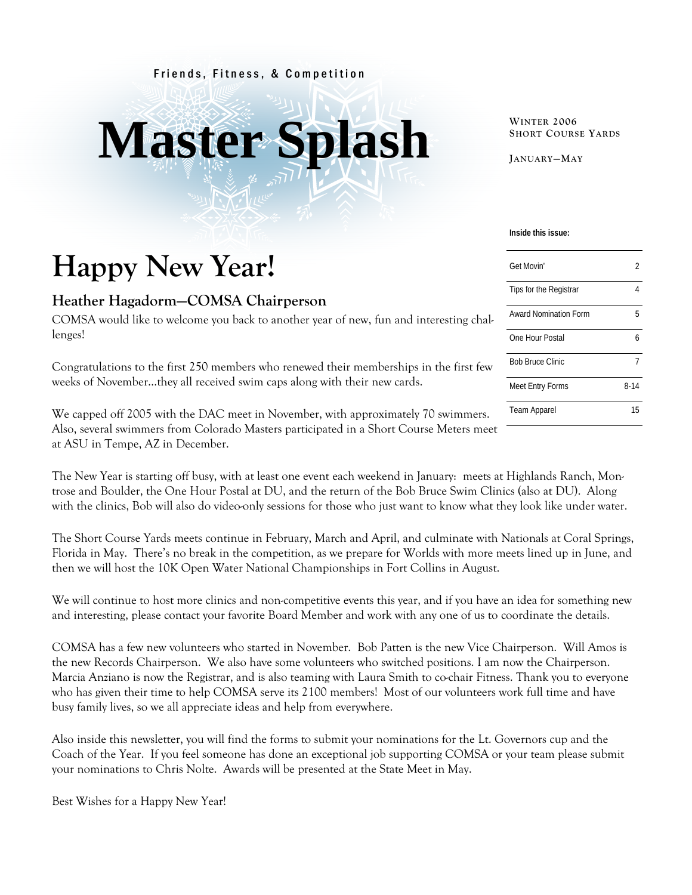#### Friends, Fitness, & Competition

# **Master Splash**

**WINTER 2006 SHORT COURSE YARDS**

**JANUARY—MAY**

## **Happy New Year!**

#### **Heather Hagadorm—COMSA Chairperson**

COMSA would like to welcome you back to another year of new, fun and interesting challenges!

Congratulations to the first 250 members who renewed their memberships in the first few weeks of November…they all received swim caps along with their new cards.

We capped off 2005 with the DAC meet in November, with approximately 70 swimmers. Also, several swimmers from Colorado Masters participated in a Short Course Meters meet at ASU in Tempe, AZ in December.

The New Year is starting off busy, with at least one event each weekend in January: meets at Highlands Ranch, Montrose and Boulder, the One Hour Postal at DU, and the return of the Bob Bruce Swim Clinics (also at DU). Along with the clinics, Bob will also do video-only sessions for those who just want to know what they look like under water.

The Short Course Yards meets continue in February, March and April, and culminate with Nationals at Coral Springs, Florida in May. There's no break in the competition, as we prepare for Worlds with more meets lined up in June, and then we will host the 10K Open Water National Championships in Fort Collins in August.

We will continue to host more clinics and non-competitive events this year, and if you have an idea for something new and interesting, please contact your favorite Board Member and work with any one of us to coordinate the details.

COMSA has a few new volunteers who started in November. Bob Patten is the new Vice Chairperson. Will Amos is the new Records Chairperson. We also have some volunteers who switched positions. I am now the Chairperson. Marcia Anziano is now the Registrar, and is also teaming with Laura Smith to co-chair Fitness. Thank you to everyone who has given their time to help COMSA serve its 2100 members! Most of our volunteers work full time and have busy family lives, so we all appreciate ideas and help from everywhere.

Also inside this newsletter, you will find the forms to submit your nominations for the Lt. Governors cup and the Coach of the Year. If you feel someone has done an exceptional job supporting COMSA or your team please submit your nominations to Chris Nolte. Awards will be presented at the State Meet in May.

Best Wishes for a Happy New Year!

#### **Inside this issue:**

| Get Movin'                   | 2        |
|------------------------------|----------|
| Tips for the Registrar       |          |
| <b>Award Nomination Form</b> | 5        |
| One Hour Postal              | h        |
| <b>Bob Bruce Clinic</b>      |          |
| Meet Entry Forms             | $8 - 14$ |
| <b>Team Apparel</b>          | 15       |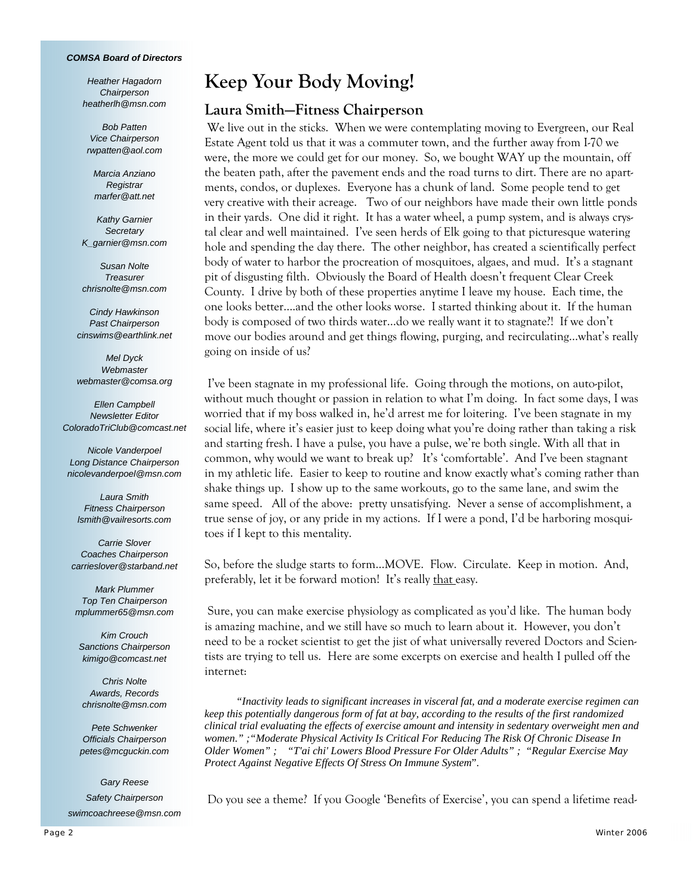#### *COMSA Board of Directors*

*Heather Hagadorn Chairperson heatherlh@msn.com* 

*Bob Patten Vice Chairperson rwpatten@aol.com* 

*Marcia Anziano Registrar marfer@att.net* 

*Kathy Garnier Secretary K\_garnier@msn.com* 

*Susan Nolte Treasurer chrisnolte@msn.com* 

*Cindy Hawkinson Past Chairperson cinswims@earthlink.net* 

*Mel Dyck Webmaster webmaster@comsa.org* 

*Ellen Campbell Newsletter Editor ColoradoTriClub@comcast.net* 

*Nicole Vanderpoel Long Distance Chairperson nicolevanderpoel@msn.com* 

*Laura Smith Fitness Chairperson lsmith@vailresorts.com* 

*Carrie Slover Coaches Chairperson carrieslover@starband.net* 

*Mark Plummer Top Ten Chairperson mplummer65@msn.com* 

*Kim Crouch Sanctions Chairperson kimigo@comcast.net* 

*Chris Nolte Awards, Records chrisnolte@msn.com* 

*Pete Schwenker Officials Chairperson petes@mcguckin.com* 

*Gary Reese Safety Chairperson swimcoachreese@msn.com*

## **Keep Your Body Moving!**

#### **Laura Smith—Fitness Chairperson**

We live out in the sticks. When we were contemplating moving to Evergreen, our Real Estate Agent told us that it was a commuter town, and the further away from I-70 we were, the more we could get for our money. So, we bought WAY up the mountain, off the beaten path, after the pavement ends and the road turns to dirt. There are no apartments, condos, or duplexes. Everyone has a chunk of land. Some people tend to get very creative with their acreage. Two of our neighbors have made their own little ponds in their yards. One did it right. It has a water wheel, a pump system, and is always crystal clear and well maintained. I've seen herds of Elk going to that picturesque watering hole and spending the day there. The other neighbor, has created a scientifically perfect body of water to harbor the procreation of mosquitoes, algaes, and mud. It's a stagnant pit of disgusting filth. Obviously the Board of Health doesn't frequent Clear Creek County. I drive by both of these properties anytime I leave my house. Each time, the one looks better….and the other looks worse. I started thinking about it. If the human body is composed of two thirds water…do we really want it to stagnate?! If we don't move our bodies around and get things flowing, purging, and recirculating…what's really going on inside of us?

 I've been stagnate in my professional life. Going through the motions, on auto-pilot, without much thought or passion in relation to what I'm doing. In fact some days, I was worried that if my boss walked in, he'd arrest me for loitering. I've been stagnate in my social life, where it's easier just to keep doing what you're doing rather than taking a risk and starting fresh. I have a pulse, you have a pulse, we're both single. With all that in common, why would we want to break up? It's 'comfortable'. And I've been stagnant in my athletic life. Easier to keep to routine and know exactly what's coming rather than shake things up. I show up to the same workouts, go to the same lane, and swim the same speed. All of the above: pretty unsatisfying. Never a sense of accomplishment, a true sense of joy, or any pride in my actions. If I were a pond, I'd be harboring mosquitoes if I kept to this mentality.

So, before the sludge starts to form…MOVE. Flow. Circulate. Keep in motion. And, preferably, let it be forward motion! It's really that easy.

 Sure, you can make exercise physiology as complicated as you'd like. The human body is amazing machine, and we still have so much to learn about it. However, you don't need to be a rocket scientist to get the jist of what universally revered Doctors and Scientists are trying to tell us. Here are some excerpts on exercise and health I pulled off the internet:

 *"Inactivity leads to significant increases in visceral fat, and a moderate exercise regimen can keep this potentially dangerous form of fat at bay, according to the results of the first randomized clinical trial evaluating the effects of exercise amount and intensity in sedentary overweight men and women." ;"Moderate Physical Activity Is Critical For Reducing The Risk Of Chronic Disease In Older Women" ; "T'ai chi' Lowers Blood Pressure For Older Adults" ; "Regular Exercise May Protect Against Negative Effects Of Stress On Immune System*".

Do you see a theme? If you Google 'Benefits of Exercise', you can spend a lifetime read-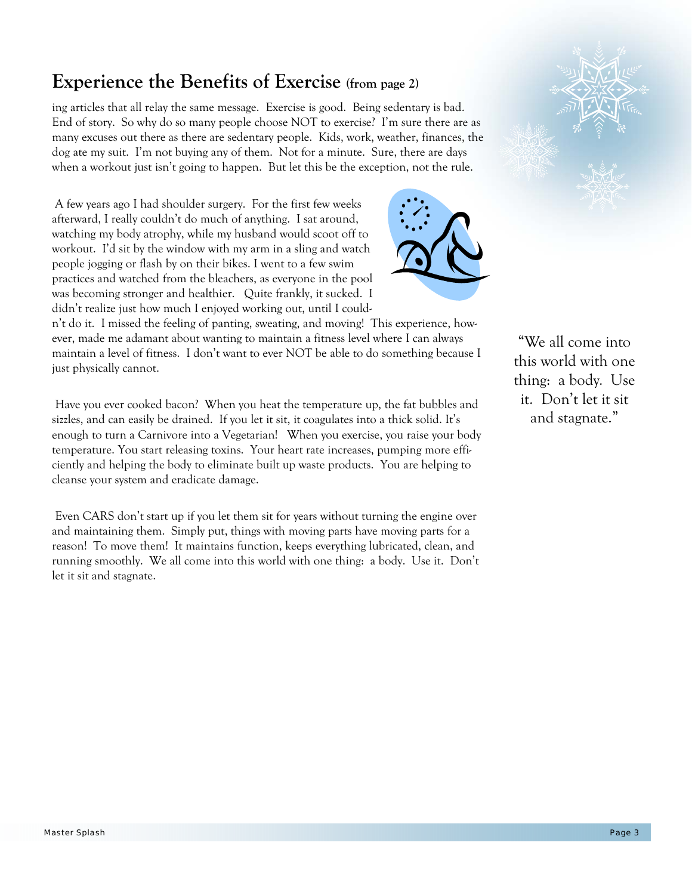## **Experience the Benefits of Exercise (from page 2)**

ing articles that all relay the same message. Exercise is good. Being sedentary is bad. End of story. So why do so many people choose NOT to exercise? I'm sure there are as many excuses out there as there are sedentary people. Kids, work, weather, finances, the dog ate my suit. I'm not buying any of them. Not for a minute. Sure, there are days when a workout just isn't going to happen. But let this be the exception, not the rule.

 A few years ago I had shoulder surgery. For the first few weeks afterward, I really couldn't do much of anything. I sat around, watching my body atrophy, while my husband would scoot off to workout. I'd sit by the window with my arm in a sling and watch people jogging or flash by on their bikes. I went to a few swim practices and watched from the bleachers, as everyone in the pool was becoming stronger and healthier. Quite frankly, it sucked. I didn't realize just how much I enjoyed working out, until I could-



n't do it. I missed the feeling of panting, sweating, and moving! This experience, however, made me adamant about wanting to maintain a fitness level where I can always maintain a level of fitness. I don't want to ever NOT be able to do something because I just physically cannot.

 Have you ever cooked bacon? When you heat the temperature up, the fat bubbles and sizzles, and can easily be drained. If you let it sit, it coagulates into a thick solid. It's enough to turn a Carnivore into a Vegetarian! When you exercise, you raise your body temperature. You start releasing toxins. Your heart rate increases, pumping more efficiently and helping the body to eliminate built up waste products. You are helping to cleanse your system and eradicate damage.

 Even CARS don't start up if you let them sit for years without turning the engine over and maintaining them. Simply put, things with moving parts have moving parts for a reason! To move them! It maintains function, keeps everything lubricated, clean, and running smoothly. We all come into this world with one thing: a body. Use it. Don't let it sit and stagnate.

"We all come into this world with one thing: a body. Use it. Don't let it sit and stagnate."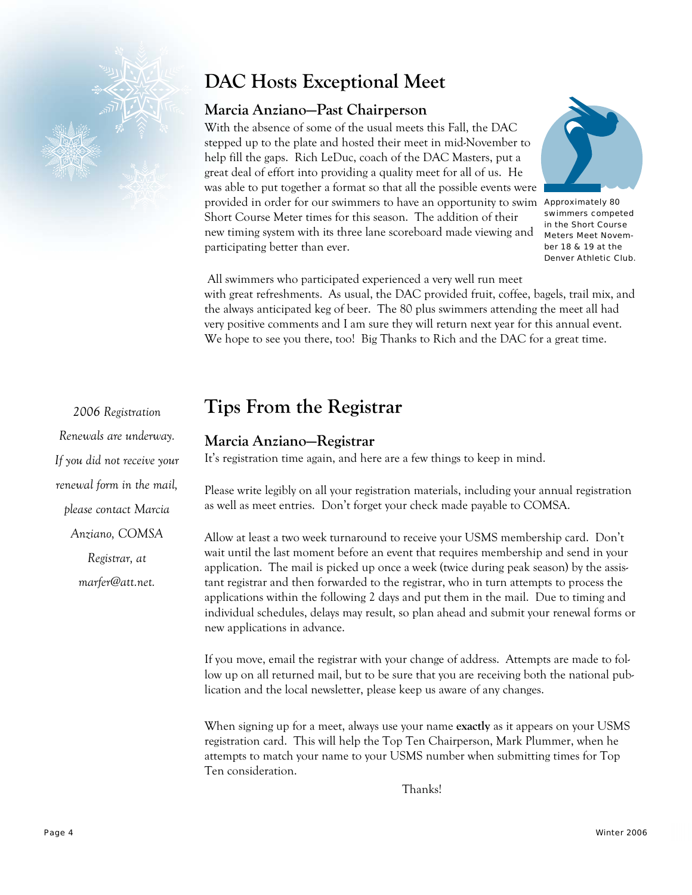

## **DAC Hosts Exceptional Meet**

#### **Marcia Anziano—Past Chairperson**

With the absence of some of the usual meets this Fall, the DAC stepped up to the plate and hosted their meet in mid-November to help fill the gaps. Rich LeDuc, coach of the DAC Masters, put a great deal of effort into providing a quality meet for all of us. He was able to put together a format so that all the possible events were provided in order for our swimmers to have an opportunity to swim Approximately 80 Short Course Meter times for this season. The addition of their new timing system with its three lane scoreboard made viewing and participating better than ever.



swimmers competed in the Short Course Meters Meet November 18 & 19 at the Denver Athletic Club.

 All swimmers who participated experienced a very well run meet with great refreshments. As usual, the DAC provided fruit, coffee, bagels, trail mix, and the always anticipated keg of beer. The 80 plus swimmers attending the meet all had very positive comments and I am sure they will return next year for this annual event. We hope to see you there, too! Big Thanks to Rich and the DAC for a great time.

## **Tips From the Registrar**

#### **Marcia Anziano—Registrar**

It's registration time again, and here are a few things to keep in mind.

Please write legibly on all your registration materials, including your annual registration as well as meet entries. Don't forget your check made payable to COMSA.

Allow at least a two week turnaround to receive your USMS membership card. Don't wait until the last moment before an event that requires membership and send in your application. The mail is picked up once a week (twice during peak season) by the assistant registrar and then forwarded to the registrar, who in turn attempts to process the applications within the following 2 days and put them in the mail. Due to timing and individual schedules, delays may result, so plan ahead and submit your renewal forms or new applications in advance.

If you move, email the registrar with your change of address. Attempts are made to follow up on all returned mail, but to be sure that you are receiving both the national publication and the local newsletter, please keep us aware of any changes.

When signing up for a meet, always use your name **exactly** as it appears on your USMS registration card. This will help the Top Ten Chairperson, Mark Plummer, when he attempts to match your name to your USMS number when submitting times for Top Ten consideration.

Thanks!

*2006 Registration Renewals are underway. If you did not receive your renewal form in the mail, please contact Marcia Anziano, COMSA* 

*Registrar, at* 

*marfer@att.net.*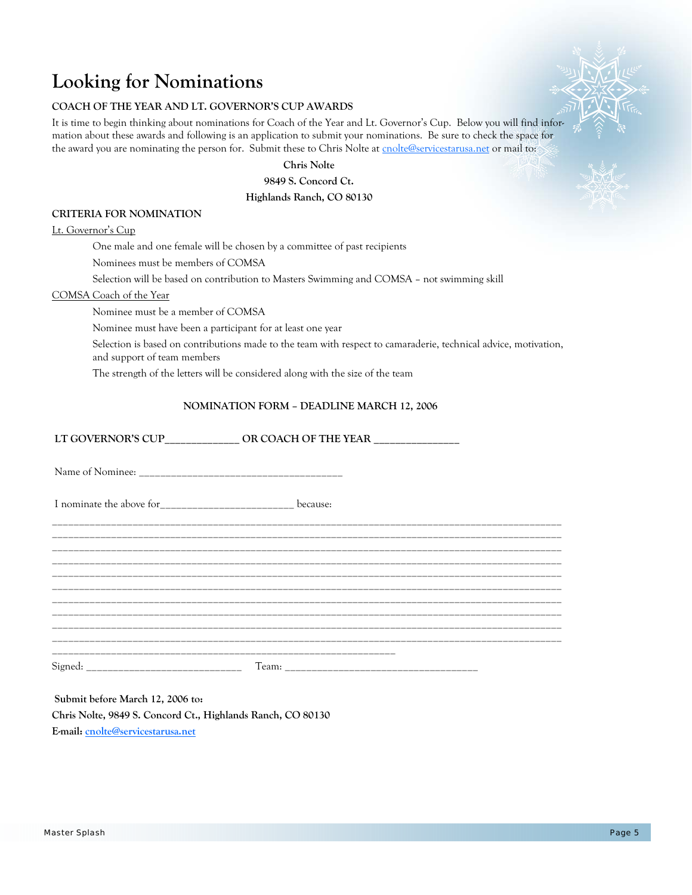## **Looking for Nominations**

#### **COACH OF THE YEAR AND LT. GOVERNOR'S CUP AWARDS**

It is time to begin thinking about nominations for Coach of the Year and Lt. Governor's Cup. Below you will find information about these awards and following is an application to submit your nominations. Be sure to check the space for the award you are nominating the person for. Submit these to Chris Nolte at cnolte@servicestarusa.net or mail to:

**Chris Nolte** 

**9849 S. Concord Ct.** 

#### **Highlands Ranch, CO 80130**

#### **CRITERIA FOR NOMINATION**

#### Lt. Governor's Cup

One male and one female will be chosen by a committee of past recipients

Nominees must be members of COMSA

Selection will be based on contribution to Masters Swimming and COMSA – not swimming skill

#### COMSA Coach of the Year

Nominee must be a member of COMSA

Nominee must have been a participant for at least one year

 Selection is based on contributions made to the team with respect to camaraderie, technical advice, motivation, and support of team members

The strength of the letters will be considered along with the size of the team

#### **NOMINATION FORM – DEADLINE MARCH 12, 2006**

|                                                              | LT GOVERNOR'S CUP_____________ OR COACH OF THE YEAR _______________ |
|--------------------------------------------------------------|---------------------------------------------------------------------|
|                                                              |                                                                     |
| I nominate the above for___________________________ because: |                                                                     |
|                                                              |                                                                     |
|                                                              |                                                                     |
|                                                              |                                                                     |
|                                                              |                                                                     |
|                                                              |                                                                     |
|                                                              |                                                                     |

**Submit before March 12, 2006 to: Chris Nolte, 9849 S. Concord Ct., Highlands Ranch, CO 80130 E-mail: cnolte@servicestarusa.net**

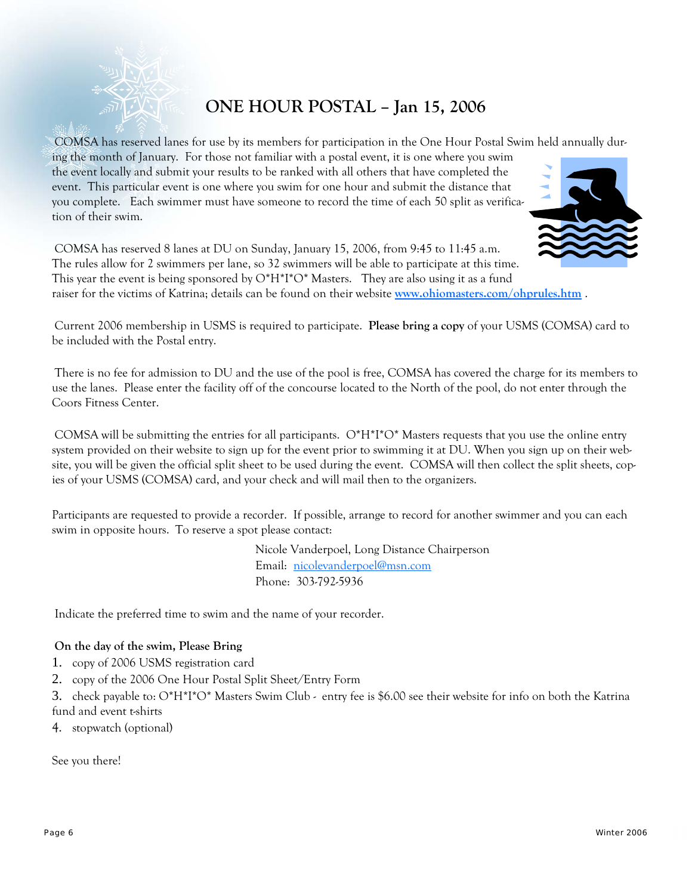

### **ONE HOUR POSTAL – Jan 15, 2006**

COMSA has reserved lanes for use by its members for participation in the One Hour Postal Swim held annually dur-

ing the month of January. For those not familiar with a postal event, it is one where you swim the event locally and submit your results to be ranked with all others that have completed the event. This particular event is one where you swim for one hour and submit the distance that you complete. Each swimmer must have someone to record the time of each 50 split as verification of their swim.



COMSA has reserved 8 lanes at DU on Sunday, January 15, 2006, from 9:45 to 11:45 a.m. The rules allow for 2 swimmers per lane, so 32 swimmers will be able to participate at this time. This year the event is being sponsored by  $O^*H^*I^*O^*$  Masters. They are also using it as a fund raiser for the victims of Katrina; details can be found on their website **www.ohiomasters.com/ohprules.htm** .

Current 2006 membership in USMS is required to participate. **Please bring a copy** of your USMS (COMSA) card to be included with the Postal entry.

There is no fee for admission to DU and the use of the pool is free, COMSA has covered the charge for its members to use the lanes. Please enter the facility off of the concourse located to the North of the pool, do not enter through the Coors Fitness Center.

COMSA will be submitting the entries for all participants.  $O^*H^*I^*O^*$  Masters requests that you use the online entry system provided on their website to sign up for the event prior to swimming it at DU. When you sign up on their website, you will be given the official split sheet to be used during the event. COMSA will then collect the split sheets, copies of your USMS (COMSA) card, and your check and will mail then to the organizers.

Participants are requested to provide a recorder. If possible, arrange to record for another swimmer and you can each swim in opposite hours. To reserve a spot please contact:

> Nicole Vanderpoel, Long Distance Chairperson Email: nicolevanderpoel@msn.com Phone: 303-792-5936

Indicate the preferred time to swim and the name of your recorder.

#### **On the day of the swim, Please Bring**

- 1. copy of 2006 USMS registration card
- 2. copy of the 2006 One Hour Postal Split Sheet/Entry Form
- 3. check payable to: O\*H\*I\*O\* Masters Swim Club entry fee is \$6.00 see their website for info on both the Katrina fund and event t-shirts
- 4. stopwatch (optional)

See you there!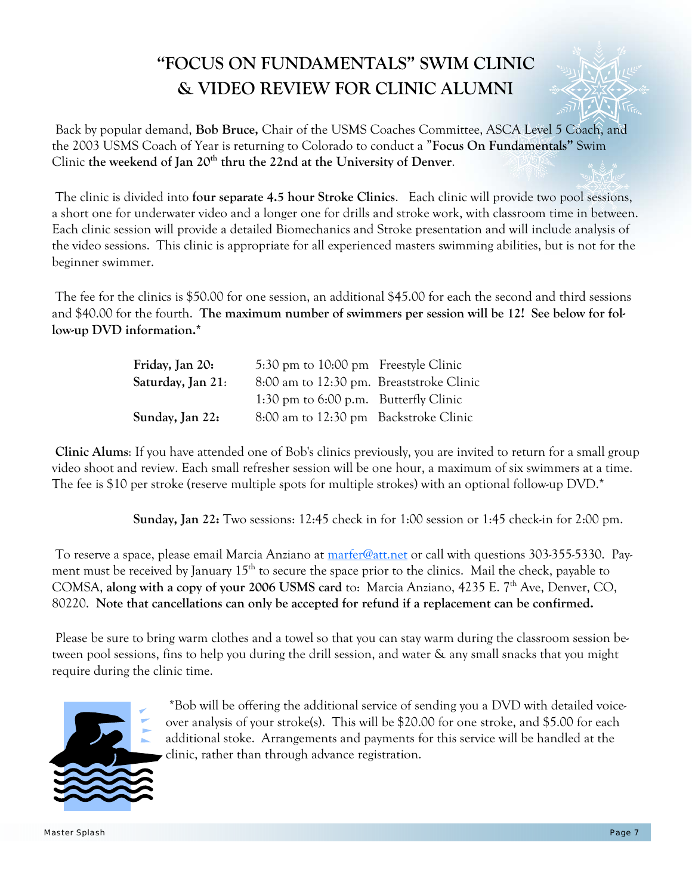## **"FOCUS ON FUNDAMENTALS" SWIM CLINIC & VIDEO REVIEW FOR CLINIC ALUMNI**



 Back by popular demand, **Bob Bruce,** Chair of the USMS Coaches Committee, ASCA Level 5 Coach, and the 2003 USMS Coach of Year is returning to Colorado to conduct a "**Focus On Fundamentals"** Swim Clinic the weekend of Jan 20<sup>th</sup> thru the 22nd at the University of Denver.

 The clinic is divided into **four separate 4.5 hour Stroke Clinics**. Each clinic will provide two pool sessions, a short one for underwater video and a longer one for drills and stroke work, with classroom time in between. Each clinic session will provide a detailed Biomechanics and Stroke presentation and will include analysis of the video sessions. This clinic is appropriate for all experienced masters swimming abilities, but is not for the beginner swimmer.

 The fee for the clinics is \$50.00 for one session, an additional \$45.00 for each the second and third sessions and \$40.00 for the fourth. **The maximum number of swimmers per session will be 12! See below for follow-up DVD information.\***

| Friday, Jan 20:   | 5:30 pm to 10:00 pm Freestyle Clinic     |  |
|-------------------|------------------------------------------|--|
| Saturday, Jan 21: | 8:00 am to 12:30 pm. Breaststroke Clinic |  |
|                   | 1:30 pm to $6:00$ p.m. Butterfly Clinic  |  |
| Sunday, Jan 22:   | 8:00 am to 12:30 pm Backstroke Clinic    |  |

**Clinic Alums**: If you have attended one of Bob's clinics previously, you are invited to return for a small group video shoot and review. Each small refresher session will be one hour, a maximum of six swimmers at a time. The fee is \$10 per stroke (reserve multiple spots for multiple strokes) with an optional follow-up DVD.\*

**Sunday, Jan 22:** Two sessions: 12:45 check in for 1:00 session or 1:45 check-in for 2:00 pm.

 To reserve a space, please email Marcia Anziano at marfer@att.net or call with questions 303-355-5330. Payment must be received by January  $15<sup>th</sup>$  to secure the space prior to the clinics. Mail the check, payable to COMSA, along with a copy of your 2006 USMS card to: Marcia Anziano, 4235 E. 7<sup>th</sup> Ave, Denver, CO, 80220. **Note that cancellations can only be accepted for refund if a replacement can be confirmed.** 

 Please be sure to bring warm clothes and a towel so that you can stay warm during the classroom session between pool sessions, fins to help you during the drill session, and water & any small snacks that you might require during the clinic time.



 \*Bob will be offering the additional service of sending you a DVD with detailed voiceover analysis of your stroke(s). This will be \$20.00 for one stroke, and \$5.00 for each additional stoke. Arrangements and payments for this service will be handled at the clinic, rather than through advance registration.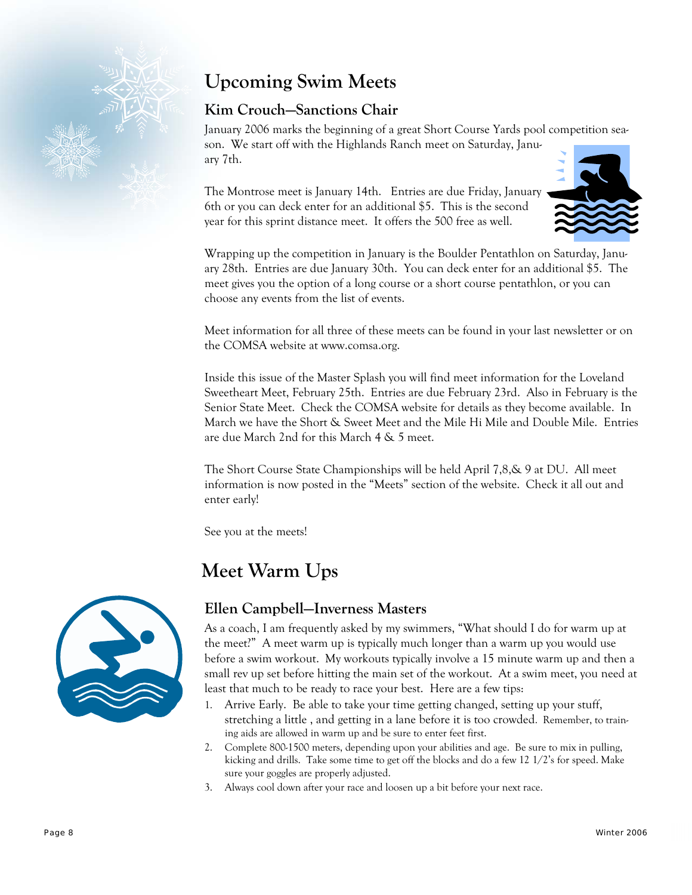

## **Upcoming Swim Meets**

#### **Kim Crouch—Sanctions Chair**

January 2006 marks the beginning of a great Short Course Yards pool competition season. We start off with the Highlands Ranch meet on Saturday, January 7th.

The Montrose meet is January 14th. Entries are due Friday, January 6th or you can deck enter for an additional \$5. This is the second year for this sprint distance meet. It offers the 500 free as well.



Wrapping up the competition in January is the Boulder Pentathlon on Saturday, January 28th. Entries are due January 30th. You can deck enter for an additional \$5. The meet gives you the option of a long course or a short course pentathlon, or you can choose any events from the list of events.

Meet information for all three of these meets can be found in your last newsletter or on the COMSA website at www.comsa.org.

Inside this issue of the Master Splash you will find meet information for the Loveland Sweetheart Meet, February 25th. Entries are due February 23rd. Also in February is the Senior State Meet. Check the COMSA website for details as they become available. In March we have the Short & Sweet Meet and the Mile Hi Mile and Double Mile. Entries are due March 2nd for this March 4 & 5 meet.

The Short Course State Championships will be held April 7,8,& 9 at DU. All meet information is now posted in the "Meets" section of the website. Check it all out and enter early!

See you at the meets!

## **Meet Warm Ups**



#### **Ellen Campbell—Inverness Masters**

As a coach, I am frequently asked by my swimmers, "What should I do for warm up at the meet?" A meet warm up is typically much longer than a warm up you would use before a swim workout. My workouts typically involve a 15 minute warm up and then a small rev up set before hitting the main set of the workout. At a swim meet, you need at least that much to be ready to race your best. Here are a few tips:

- 1. Arrive Early. Be able to take your time getting changed, setting up your stuff, stretching a little , and getting in a lane before it is too crowded. Remember, to training aids are allowed in warm up and be sure to enter feet first.
- 2. Complete 800-1500 meters, depending upon your abilities and age. Be sure to mix in pulling, kicking and drills. Take some time to get off the blocks and do a few 12 1/2's for speed. Make sure your goggles are properly adjusted.
- 3. Always cool down after your race and loosen up a bit before your next race.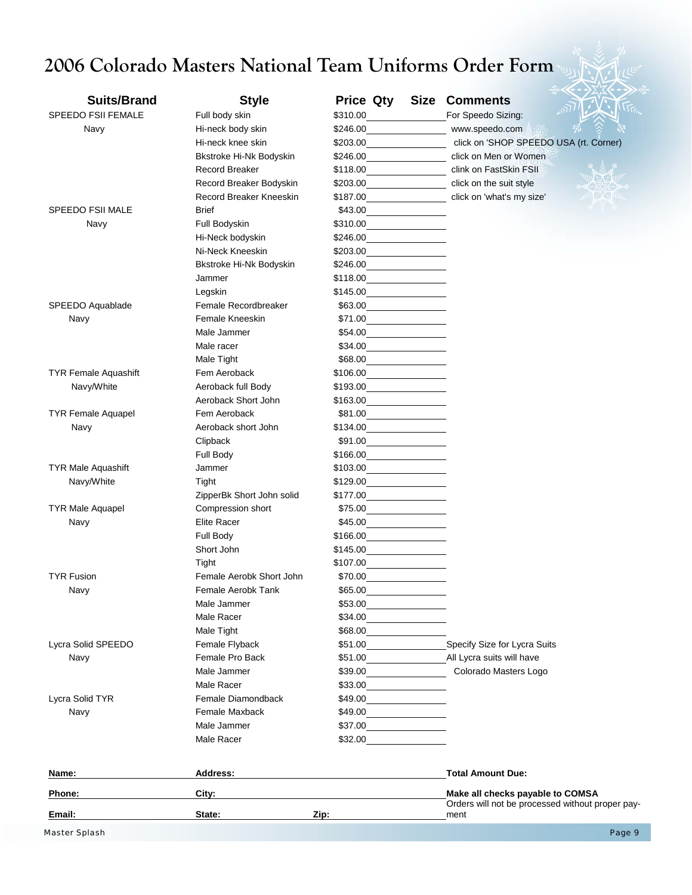# **2006 Colorado Masters National Team Uniforms Order Form**

| <b>Suits/Brand</b>          | <b>Style</b>                           | Price Qty<br>Size                                                                                                                | <b>Comments</b>                                                                      |        |
|-----------------------------|----------------------------------------|----------------------------------------------------------------------------------------------------------------------------------|--------------------------------------------------------------------------------------|--------|
| <b>SPEEDO FSII FEMALE</b>   | Full body skin                         | \$310.00                                                                                                                         |                                                                                      |        |
|                             |                                        | \$246.00                                                                                                                         | For Speedo Sizing:                                                                   |        |
| Navy                        | Hi-neck body skin<br>Hi-neck knee skin | \$203.00                                                                                                                         | www.speedo.com<br>click on 'SHOP SPEEDO USA (rt. Corner)                             |        |
|                             | Bkstroke Hi-Nk Bodyskin                | \$246.00                                                                                                                         | click on Men or Women                                                                |        |
|                             | Record Breaker                         | \$118.00                                                                                                                         | clink on FastSkin FSII                                                               |        |
|                             | Record Breaker Bodyskin                | \$203.00                                                                                                                         | click on the suit style                                                              |        |
|                             | <b>Record Breaker Kneeskin</b>         | \$187.00                                                                                                                         | click on 'what's my size'                                                            |        |
| SPEEDO FSII MALE            | <b>Brief</b>                           | \$43.00                                                                                                                          |                                                                                      |        |
| Navy                        | Full Bodyskin                          | \$310.00                                                                                                                         |                                                                                      |        |
|                             | Hi-Neck bodyskin                       | \$246.00                                                                                                                         |                                                                                      |        |
|                             | Ni-Neck Kneeskin                       | \$203.00                                                                                                                         |                                                                                      |        |
|                             | Bkstroke Hi-Nk Bodyskin                | \$246.00                                                                                                                         |                                                                                      |        |
|                             | Jammer                                 | \$118.00                                                                                                                         |                                                                                      |        |
|                             | Legskin                                | \$145.00                                                                                                                         |                                                                                      |        |
| SPEEDO Aquablade            | Female Recordbreaker                   | \$63.00                                                                                                                          |                                                                                      |        |
| Navy                        | Female Kneeskin                        | \$71.00                                                                                                                          |                                                                                      |        |
|                             | Male Jammer                            | \$54.00                                                                                                                          |                                                                                      |        |
|                             | Male racer                             | \$34.00                                                                                                                          |                                                                                      |        |
|                             | Male Tight                             | \$68.00                                                                                                                          |                                                                                      |        |
| <b>TYR Female Aquashift</b> | Fem Aeroback                           | \$106.00                                                                                                                         |                                                                                      |        |
| Navy/White                  | Aeroback full Body                     | \$193.00                                                                                                                         |                                                                                      |        |
|                             | Aeroback Short John                    | \$163.00                                                                                                                         |                                                                                      |        |
| <b>TYR Female Aquapel</b>   | Fem Aeroback                           | \$81.00                                                                                                                          |                                                                                      |        |
| Navy                        | Aeroback short John                    | \$134.00                                                                                                                         |                                                                                      |        |
|                             | Clipback                               | \$91.00                                                                                                                          |                                                                                      |        |
|                             | Full Body                              | \$166.00                                                                                                                         |                                                                                      |        |
| <b>TYR Male Aquashift</b>   | Jammer                                 | \$103.00                                                                                                                         |                                                                                      |        |
| Navy/White                  | Tight                                  | \$129.00                                                                                                                         |                                                                                      |        |
|                             | ZipperBk Short John solid              | \$177.00                                                                                                                         |                                                                                      |        |
| <b>TYR Male Aquapel</b>     | Compression short                      | \$75.00                                                                                                                          |                                                                                      |        |
| Navy                        | <b>Elite Racer</b>                     | \$45.00                                                                                                                          |                                                                                      |        |
|                             | Full Body                              | \$166.00                                                                                                                         |                                                                                      |        |
|                             | Short John                             | \$145.00                                                                                                                         |                                                                                      |        |
|                             | Tight                                  | \$107.00                                                                                                                         |                                                                                      |        |
| <b>TYR Fusion</b>           | Female Aerobk Short John               | \$70.00                                                                                                                          |                                                                                      |        |
| Navy                        | Female Aerobk Tank                     | \$65.00                                                                                                                          |                                                                                      |        |
|                             | Male Jammer                            | \$53.00                                                                                                                          |                                                                                      |        |
|                             | Male Racer                             | \$34.00                                                                                                                          |                                                                                      |        |
|                             | Male Tight                             | \$68.00                                                                                                                          |                                                                                      |        |
| Lycra Solid SPEEDO          | Female Flyback                         | \$51.00                                                                                                                          | Specify Size for Lycra Suits                                                         |        |
| Navy                        | Female Pro Back                        | \$51.00                                                                                                                          | All Lycra suits will have                                                            |        |
|                             | Male Jammer                            | \$39.00                                                                                                                          | Colorado Masters Logo                                                                |        |
|                             | Male Racer                             | \$33.00                                                                                                                          |                                                                                      |        |
| Lycra Solid TYR             | Female Diamondback                     | \$49.00                                                                                                                          |                                                                                      |        |
| Navy                        | Female Maxback                         | \$49.00<br><u> 1989 - Andrea Sta</u>                                                                                             |                                                                                      |        |
|                             | Male Jammer                            | \$37.00<br><u> 1989 - Jan Sterling Sterling Sterling Sterling Sterling Sterling Sterling Sterling Sterling Sterling Sterling</u> |                                                                                      |        |
|                             | Male Racer                             | \$32.00                                                                                                                          |                                                                                      |        |
| Name:                       | Address:                               |                                                                                                                                  | <b>Total Amount Due:</b>                                                             |        |
| Phone:                      | City:                                  |                                                                                                                                  | Make all checks payable to COMSA<br>Orders will not be processed without proper pay- |        |
| Email:                      | State:                                 | Zip:                                                                                                                             | ment                                                                                 |        |
| Master Splash               |                                        |                                                                                                                                  |                                                                                      | Page 9 |